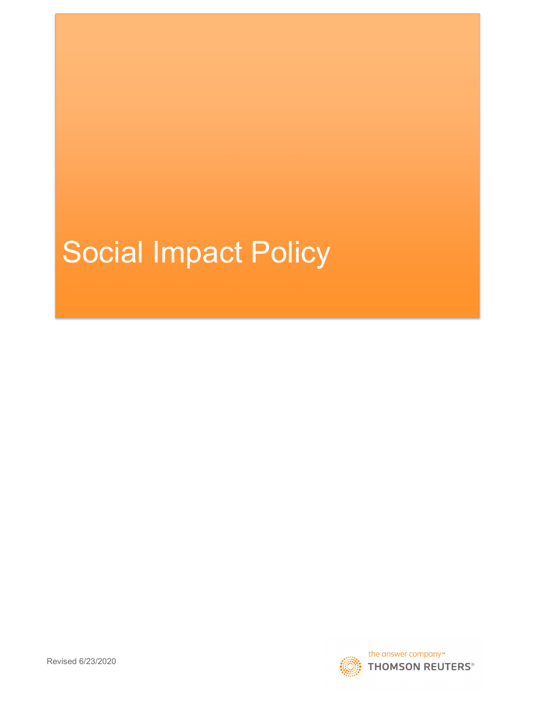# Social Impact Policy

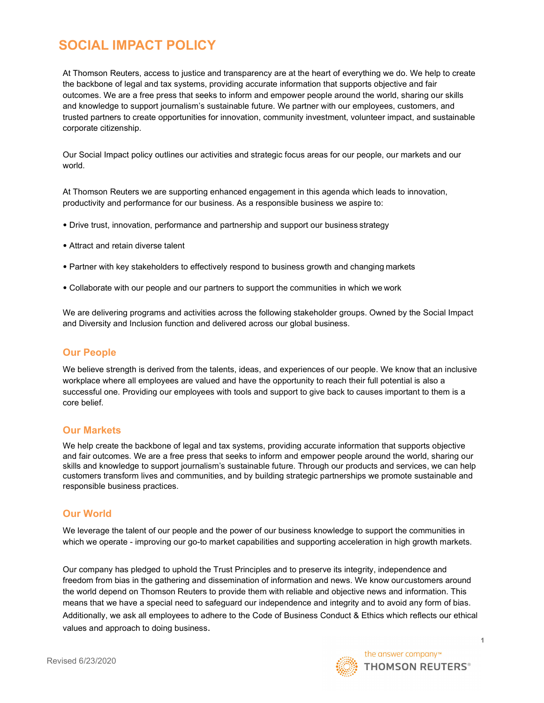# SOCIAL IMPACT POLICY

At Thomson Reuters, access to justice and transparency are at the heart of everything we do. We help to create the backbone of legal and tax systems, providing accurate information that supports objective and fair outcomes. We are a free press that seeks to inform and empower people around the world, sharing our skills and knowledge to support journalism's sustainable future. We partner with our employees, customers, and trusted partners to create opportunities for innovation, community investment, volunteer impact, and sustainable corporate citizenship.

Our Social Impact policy outlines our activities and strategic focus areas for our people, our markets and our world.

At Thomson Reuters we are supporting enhanced engagement in this agenda which leads to innovation, productivity and performance for our business. As a responsible business we aspire to:

- Drive trust, innovation, performance and partnership and support our business strategy
- Attract and retain diverse talent
- Partner with key stakeholders to effectively respond to business growth and changing markets
- Collaborate with our people and our partners to support the communities in which we work

We are delivering programs and activities across the following stakeholder groups. Owned by the Social Impact and Diversity and Inclusion function and delivered across our global business.

#### Our People

We believe strength is derived from the talents, ideas, and experiences of our people. We know that an inclusive workplace where all employees are valued and have the opportunity to reach their full potential is also a successful one. Providing our employees with tools and support to give back to causes important to them is a core belief.

#### Our Markets

We help create the backbone of legal and tax systems, providing accurate information that supports objective and fair outcomes. We are a free press that seeks to inform and empower people around the world, sharing our skills and knowledge to support journalism's sustainable future. Through our products and services, we can help customers transform lives and communities, and by building strategic partnerships we promote sustainable and responsible business practices.

### Our World

We leverage the talent of our people and the power of our business knowledge to support the communities in which we operate - improving our go-to market capabilities and supporting acceleration in high growth markets.

Our company has pledged to uphold the Trust Principles and to preserve its integrity, independence and freedom from bias in the gathering and dissemination of information and news. We know our customers around the world depend on Thomson Reuters to provide them with reliable and objective news and information. This means that we have a special need to safeguard our independence and integrity and to avoid any form of bias. Additionally, we ask all employees to adhere to the Code of Business Conduct & Ethics which reflects our ethical values and approach to doing business.